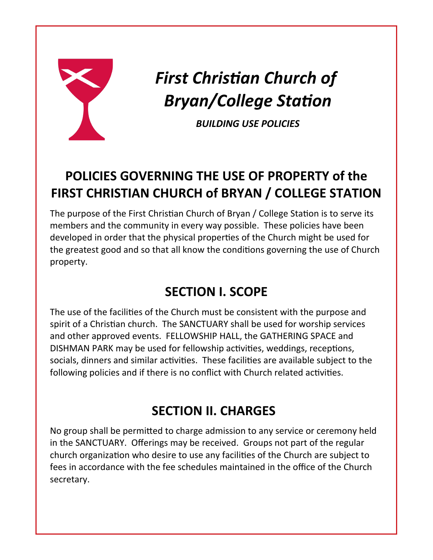

# *First Christian Church of Bryan/College Station*

*BUILDING USE POLICIES*

# **POLICIES GOVERNING THE USE OF PROPERTY of the FIRST CHRISTIAN CHURCH of BRYAN / COLLEGE STATION**

The purpose of the First Christian Church of Bryan / College Station is to serve its members and the community in every way possible. These policies have been developed in order that the physical properties of the Church might be used for the greatest good and so that all know the conditions governing the use of Church property.

# **SECTION I. SCOPE**

The use of the facilities of the Church must be consistent with the purpose and spirit of a Christian church. The SANCTUARY shall be used for worship services and other approved events. FELLOWSHIP HALL, the GATHERING SPACE and DISHMAN PARK may be used for fellowship activities, weddings, receptions, socials, dinners and similar activities. These facilities are available subject to the following policies and if there is no conflict with Church related activities.

# **SECTION II. CHARGES**

No group shall be permitted to charge admission to any service or ceremony held in the SANCTUARY. Offerings may be received. Groups not part of the regular church organization who desire to use any facilities of the Church are subject to fees in accordance with the fee schedules maintained in the office of the Church secretary.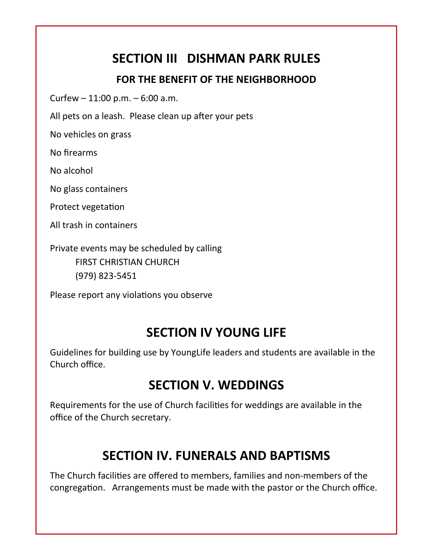#### **SECTION III DISHMAN PARK RULES**

#### **FOR THE BENEFIT OF THE NEIGHBORHOOD**

Curfew  $-11:00$  p.m.  $-6:00$  a.m.

All pets on a leash. Please clean up after your pets

No vehicles on grass

No firearms

No alcohol

No glass containers

Protect vegetation

All trash in containers

Private events may be scheduled by calling FIRST CHRISTIAN CHURCH (979) 823-5451

Please report any violations you observe

#### **SECTION IV YOUNG LIFE**

Guidelines for building use by YoungLife leaders and students are available in the Church office.

#### **SECTION V. WEDDINGS**

Requirements for the use of Church facilities for weddings are available in the office of the Church secretary.

#### **SECTION IV. FUNERALS AND BAPTISMS**

The Church facilities are offered to members, families and non-members of the congregation. Arrangements must be made with the pastor or the Church office.